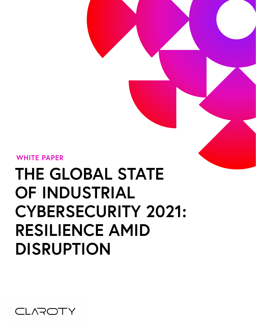

# **THE GLOBAL STATE OF INDUSTRIAL CYBERSECURITY 2021: RESILIENCE AMID DISRUPTION**

**WHITE PAPER**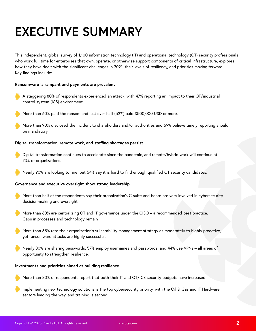## **EXECUTIVE SUMMARY**

This independent, global survey of 1,100 information technology (IT) and operational technology (OT) security professionals who work full time for enterprises that own, operate, or otherwise support components of critical infrastructure, explores how they have dealt with the significant challenges in 2021, their levels of resiliency, and priorities moving forward. Key findings include:

#### **Ransomware is rampant and payments are prevalent**

- A staggering 80% of respondents experienced an attack, with 47% reporting an impact to their OT/industrial control system (ICS) environment.
- More than 60% paid the ransom and just over half (52%) paid \$500,000 USD or more.
- More than 90% disclosed the incident to shareholders and/or authorities and 69% believe timely reporting should be mandatory.

#### **Digital transformation, remote work, and staffing shortages persist**

- Digital transformation continues to accelerate since the pandemic, and remote/hybrid work will continue at 73% of organizations.
- Nearly 90% are looking to hire, but 54% say it is hard to find enough qualified OT security candidates.

#### **Governance and executive oversight show strong leadership**

- More than half of the respondents say their organization's C-suite and board are very involved in cybersecurity decision-making and oversight.
- More than 60% are centralizing OT and IT governance under the CISO a recommended best practice. Gaps in processes and technology remain
- More than 65% rate their organization's vulnerability management strategy as moderately to highly proactive, yet ransomware attacks are highly successful.
- Nearly 30% are sharing passwords, 57% employ usernames and passwords, and 44% use VPNs all areas of opportunity to strengthen resilience.

#### **Investments and priorities aimed at building resilience**

- More than 80% of respondents report that both their IT and OT/ICS security budgets have increased.
- Implementing new technology solutions is the top cybersecurity priority, with the Oil & Gas and IT Hardware sectors leading the way, and training is second.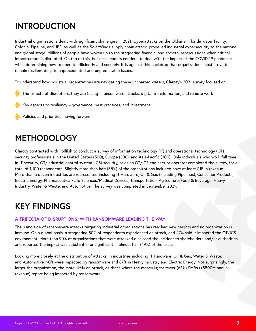## **INTRODUCTION**

Industrial organizations dealt with significant challenges in 2021. Cyberattacks on the Oldsmar, Florida water facility, Colonial Pipeline, and JBS, as well as the SolarWinds supply chain attack, propelled industrial cybersecurity to the national and global stage. Millions of people have woken up to the staggering financial and societal repercussions when critical infrastructure is disrupted. On top of this, business leaders continue to deal with the impact of the COVID-19 pandemic while determining how to operate efficiently and securely. It is against this backdrop that organizations must strive to remain resilient despite unprecedented and unpredictable issues.

To understand how industrial organizations are navigating these uncharted waters, Claroty's 2021 survey focused on:

- The trifecta of disruptions they are facing ransomware attacks, digital transformation, and remote work
- Key aspects to resiliency governance, best practices, and investment

Policies and priorities moving forward

## **METHODOLOGY**

Claroty contracted with Pollfish to conduct a survey of information technology (IT) and operational technology (OT) security professionals in the United States (500), Europe (300), and Asia-Pacific (300). Only individuals who work full time in IT security, OT/industrial control system (ICS) security, or as an OT/ICS engineer or operator completed the survey, for a total of 1,100 respondents. Slightly more than half (55%) of the organizations included have at least \$1B in revenue. More than a dozen industries are represented including IT Hardware, Oil & Gas (including Pipelines), Consumer Products, Electric Energy, Pharmaceutical/Life Sciences/Medical Devices, Transportation, Agriculture/Food & Beverage, Heavy Industry, Water & Waste, and Automotive. The survey was completed in September 2021.

### **KEY FINDINGS**

#### **A TRIFECTA OF DISRUPTIONS, WITH RANSOMWARE LEADING THE WAY**

The rising tide of ransomware attacks targeting industrial organizations has reached new heights and no organization is immune. On a global basis, a staggering 80% of respondents experienced an attack, and 47% said it impacted the OT/ICS environment. More than 90% of organizations that were attacked disclosed the incident to shareholders and/or authorities, and reported the impact was substantial or significant in almost half (49%) of the cases.

Looking more closely at the distribution of attacks, in industries including IT Hardware, Oil & Gas, Water & Waste, and Automotive, 90% were impacted by ransomware and 87% in Heavy Industry and Electric Energy. Not surprisingly, the larger the organization, the more likely an attack, as that's where the money is; far fewer (63%) SMBs (<\$500M annual revenue) report being impacted by ransomware.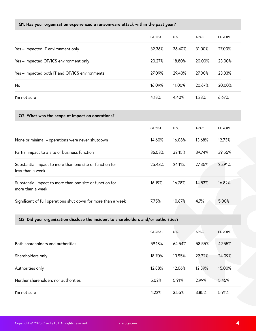#### **Q1. Has your organization experienced a ransomware attack within the past year?**

|                                                                              | <b>GLOBAL</b> | U.S.   | <b>APAC</b> | <b>EUROPE</b> |
|------------------------------------------------------------------------------|---------------|--------|-------------|---------------|
| Yes - impacted IT environment only                                           | 32.36%        | 36.40% | 31.00%      | 27.00%        |
| Yes - impacted OT/ICS environment only                                       | 20.27%        | 18.80% | 20.00%      | 23.00%        |
| Yes - impacted both IT and OT/ICS environments                               | 27.09%        | 29.40% | 27.00%      | 23.33%        |
| No                                                                           | 16.09%        | 11.00% | 20.67%      | 20.00%        |
| I'm not sure                                                                 | 4.18%         | 4.40%  | 1.33%       | 6.67%         |
| Q2. What was the scope of impact on operations?                              |               |        |             |               |
|                                                                              | <b>GLOBAL</b> | U.S.   | <b>APAC</b> | <b>EUROPE</b> |
| None or minimal - operations were never shutdown                             | 14.60%        | 16.08% | 13.68%      | 12.73%        |
| Partial impact to a site or business function                                | 36.03%        | 32.15% | 39.74%      | 39.55%        |
| Substantial impact to more than one site or function for<br>less than a week | 25.43%        | 24.11% | 27.35%      | 25.91%        |
| Substantial impact to more than one site or function for<br>more than a week | 16.19%        | 16.78% | 14.53%      | 16.82%        |
| Significant of full operations shut down for more than a week                | 7.75%         | 10.87% | 4.7%        | 5.00%         |

#### **Q3. Did your organization disclose the incident to shareholders and/or authorities?**

|                                      | <b>GLOBAL</b> | U.S.   | <b>APAC</b> | <b>EUROPE</b> |  |
|--------------------------------------|---------------|--------|-------------|---------------|--|
| Both shareholders and authorities    | 59.18%        | 64.54% | 58.55%      | 49.55%        |  |
| Shareholders only                    | 18.70%        | 13.95% | 22.22%      | 24.09%        |  |
| Authorities only                     | 12.88%        | 12.06% | 12.39%      | 15.00%        |  |
| Neither shareholders nor authorities | 5.02%         | 5.91%  | 2.99%       | 5.45%         |  |
| I'm not sure                         | 4.22%         | 3.55%  | 3.85%       | 5.91%         |  |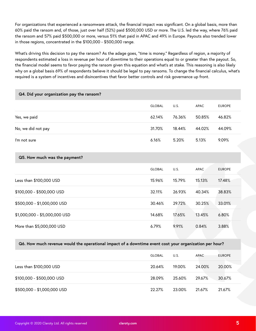For organizations that experienced a ransomware attack, the financial impact was significant. On a global basis, more than 60% paid the ransom and, of those, just over half (52%) paid \$500,000 USD or more. The U.S. led the way, where 76% paid the ransom and 57% paid \$500,000 or more, versus 51% that paid in APAC and 49% in Europe. Payouts also trended lower in those regions, concentrated in the \$100,000 - \$500,000 range.

What's driving this decision to pay the ransom? As the adage goes, "time is money." Regardless of region, a majority of respondents estimated a loss in revenue per hour of downtime to their operations equal to or greater than the payout. So, the financial model seems to favor paying the ransom given this equation and what's at stake. This reasoning is also likely why on a global basis 69% of respondents believe it should be legal to pay ransoms. To change the financial calculus, what's required is a system of incentives and disincentives that favor better controls and risk governance up front.

| Q4. Did your organization pay the ransom? |               |        |             |               |
|-------------------------------------------|---------------|--------|-------------|---------------|
|                                           | <b>GLOBAL</b> | U.S.   | <b>APAC</b> | <b>EUROPE</b> |
| Yes, we paid                              | 62.14%        | 76.36% | 50.85%      | 46.82%        |
| No, we did not pay                        | 31.70%        | 18.44% | 44.02%      | 44.09%        |
| I'm not sure                              | 6.16%         | 5.20%  | 5.13%       | 9.09%         |
| Q5. How much was the payment?             |               |        |             |               |
|                                           |               |        |             |               |
|                                           | <b>GLOBAL</b> | U.S.   | <b>APAC</b> | <b>EUROPE</b> |
| Less than \$100,000 USD                   | 15.96%        | 15.79% | 15.13%      | 17.48%        |
| \$100,000 - \$500,000 USD                 | 32.11%        | 26.93% | 40.34%      | 38.83%        |
| \$500,000 - \$1,000,000 USD               | 30.46%        | 29.72% | 30.25%      | 33.01%        |
| \$1,000,000 - \$5,000,000 USD             | 14.68%        | 17.65% | 13.45%      | 6.80%         |

#### **Q6. How much revenue would the operational impact of a downtime event cost your organization per hour?**

|                             | <b>GLOBAL</b> | U.S.   | APAC   | <b>EUROPE</b> |
|-----------------------------|---------------|--------|--------|---------------|
| Less than \$100,000 USD     | 20.64%        | 19.00% | 24.00% | 20.00%        |
| \$100,000 - \$500,000 USD   | 28.09%        | 25.60% | 29.67% | 30.67%        |
| \$500,000 - \$1,000,000 USD | 22.27%        | 23.00% | 21.67% | 21.67%        |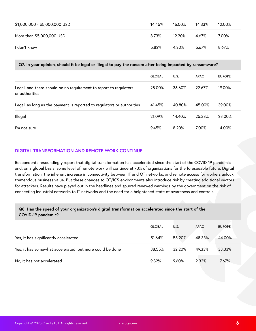| \$1,000,000 - \$5,000,000 USD | 14.45% | 16.00% | 14.33% | 12.00% |
|-------------------------------|--------|--------|--------|--------|
| More than \$5,000,000 USD     | 8.73%  | 12.20% | 4.67%  | 7.00%  |
| I don't know                  | 5.82%  | 4.20%  | 5.67%  | 8.67%  |

#### **Q7. In your opinion, should it be legal or illegal to pay the ransom after being impacted by ransomware?**

|                                                                                     | <b>GLOBAL</b> | U.S.   | APAC   | <b>EUROPE</b> |  |
|-------------------------------------------------------------------------------------|---------------|--------|--------|---------------|--|
| Legal, and there should be no requirement to report to regulators<br>or authorities | 28.00%        | 36.60% | 22.67% | 19.00%        |  |
| Legal, as long as the payment is reported to regulators or authorities              | 41.45%        | 40.80% | 45.00% | 39.00%        |  |
| Illegal                                                                             | 21.09%        | 14.40% | 25.33% | 28.00%        |  |
| I'm not sure                                                                        | 9.45%         | 8.20%  | 7.00%  | 14.00%        |  |

#### **DIGITAL TRANSFORMATION AND REMOTE WORK CONTINUE**

Respondents resoundingly report that digital transformation has accelerated since the start of the COVID-19 pandemic and, on a global basis, some level of remote work will continue at 73% of organizations for the foreseeable future. Digital transformation, the inherent increase in connectivity between IT and OT networks, and remote access for workers unlock tremendous business value. But these changes to OT/ICS environments also introduce risk by creating additional vectors for attackers. Results have played out in the headlines and spurred renewed warnings by the government on the risk of connecting industrial networks to IT networks and the need for a heightened state of awareness and controls.

#### **Q8. Has the speed of your organization's digital transformation accelerated since the start of the COVID-19 pandemic?**

|                                                          | <b>GLOBAL</b> | U.S.   | APAC   | <b>EUROPE</b> |
|----------------------------------------------------------|---------------|--------|--------|---------------|
| Yes, it has significantly accelerated                    | 51.64%        | 58.20% | 48.33% | 44.00%        |
| Yes, it has somewhat accelerated, but more could be done | 38.55%        | 32.20% | 49.33% | 38.33%        |
| No, it has not accelerated                               | 9.82%         | 9.60%  | 2.33%  | 17.67%        |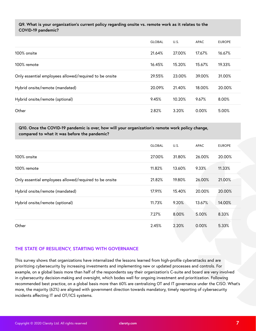#### **Q9. What is your organization's current policy regarding onsite vs. remote work as it relates to the COVID-19 pandemic?**

|                                                        | <b>GLOBAL</b> | U.S.   | APAC   | <b>EUROPE</b> |
|--------------------------------------------------------|---------------|--------|--------|---------------|
| 100% onsite                                            | 21.64%        | 27.00% | 17.67% | 16.67%        |
| 100% remote                                            | 16.45%        | 15.20% | 15.67% | 19.33%        |
| Only essential employees allowed/required to be onsite | 29.55%        | 23.00% | 39.00% | 31.00%        |
| Hybrid onsite/remote (mandated)                        | 20.09%        | 21.40% | 18.00% | 20.00%        |
| Hybrid onsite/remote (optional)                        | 9.45%         | 10.20% | 9.67%  | 8.00%         |
| Other                                                  | 2.82%         | 3.20%  | 0.00%  | 5.00%         |

#### **Q10. Once the COVID-19 pandemic is over, how will your organization's remote work policy change, compared to what it was before the pandemic?**

|                                                        | <b>GLOBAL</b> | U.S.   | <b>APAC</b> | <b>EUROPE</b> |
|--------------------------------------------------------|---------------|--------|-------------|---------------|
| 100% onsite                                            | 27.00%        | 31.80% | 26.00%      | 20.00%        |
| 100% remote                                            | 11.82%        | 13.60% | 9.33%       | 11.33%        |
| Only essential employees allowed/required to be onsite | 21.82%        | 19.80% | 26.00%      | 21.00%        |
| Hybrid onsite/remote (mandated)                        | 17.91%        | 15.40% | 20.00%      | 20.00%        |
| Hybrid onsite/remote (optional)                        | 11.73%        | 9.20%  | 13.67%      | 14.00%        |
|                                                        | 7.27%         | 8.00%  | 5.00%       | 8.33%         |
| Other                                                  | 2.45%         | 2.20%  | 0.00%       | 5.33%         |

#### **THE STATE OF RESILIENCY, STARTING WITH GOVERNANCE**

This survey shows that organizations have internalized the lessons learned from high-profile cyberattacks and are prioritizing cybersecurity by increasing investments and implementing new or updated processes and controls. For example, on a global basis more than half of the respondents say their organization's C-suite and board are very involved in cybersecurity decision-making and oversight, which bodes well for ongoing investment and prioritization. Following recommended best practice, on a global basis more than 60% are centralizing OT and IT governance under the CISO. What's more, the majority (62%) are aligned with government direction towards mandatory, timely reporting of cybersecurity incidents affecting IT and OT/ICS systems.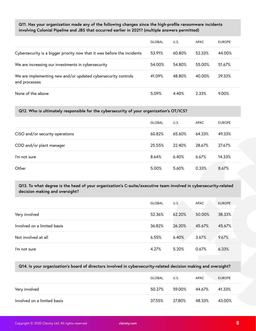#### **Q11. Has your organization made any of the following changes since the high-profile ransomware incidents involving Colonial Pipeline and JBS that occurred earlier in 2021? (multiple answers permitted)**

|                                                                                | <b>GLOBAL</b> | U.S.   | APAC   | <b>EUROPE</b> |
|--------------------------------------------------------------------------------|---------------|--------|--------|---------------|
| Cybersecurity is a bigger priority now that it was before the incidents        | 53.91%        | 60.80% | 52.33% | 44.00%        |
| We are increasing our investments in cybersecurity                             | 54.00%        | 54.80% | 55.00% | 51.67%        |
| We are implementing new and/or updated cybersecurity controls<br>and processes | 41.09%        | 48.80% | 40.00% | 29.33%        |
| None of the above                                                              | 5.09%         | 4.40%  | 2.33%  | 9.00%         |

#### **Q12. Who is ultimately responsible for the cybersecurity of your organization's OT/ICS?**

|                                 | <b>GLOBAL</b> | U.S.   | APAC   | <b>EUROPE</b> |
|---------------------------------|---------------|--------|--------|---------------|
| CISO and/or security operations | 60.82%        | 65.60% | 64.33% | 49.33%        |
| COO and/or plant manager        | 25.55%        | 22.40% | 28.67% | 27.67%        |
| I'm not sure                    | 8.64%         | 6.40%  | 6.67%  | 14.33%        |
| Other                           | 5.00%         | 5.60%  | 0.33%  | 8.67%         |

#### **Q13. To what degree is the head of your organization's C-suite/executive team involved in cybersecurity-related decision making and oversight?**

|                             | <b>GLOBAL</b> | U.S.   | APAC   | <b>EUROPE</b> |
|-----------------------------|---------------|--------|--------|---------------|
| Very involved               | 52.36%        | 62.20% | 50.00% | 38.33%        |
| Involved on a limited basis | 36.82%        | 26.20% | 45.67% | 45.67%        |
| Not involved at all         | 6.55%         | 6.40%  | 3.67%  | 9.67%         |
| I'm not sure                | 4.27%         | 5.20%  | 0.67%  | 6.33%         |

#### **Q14. Is your organization's board of directors involved in cybersecurity-related decision making and oversight?**

|                             | GLOBAL | U.S.   | APAC   | <b>EUROPE</b> |
|-----------------------------|--------|--------|--------|---------------|
| Very involved               | 50.27% | 59.00% | 44.67% | 41.33%        |
| Involved on a limited basis | 37.55% | 27.80% | 48.33% | 43.00%        |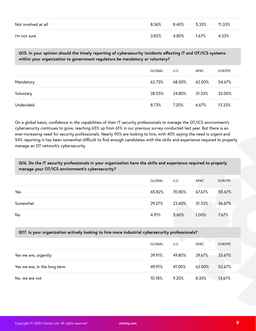| Not involved at all | 8.36% | 8.40% | 5.33% | 11.33% |
|---------------------|-------|-------|-------|--------|
| I'm not sure        | 3.82% | 4.80% | 1.67% | 4.33%  |

**Q15. In your opinion should the timely reporting of cybersecurity incidents affecting IT and OT/ICS systems within your organization to government regulators be mandatory or voluntary?**

|           | GLOBAL | U.S.          | APAC   | <b>EUROPE</b> |
|-----------|--------|---------------|--------|---------------|
| Mandatory | 62.73% | 68.00%        | 62.00% | 54.67%        |
| Voluntary | 28.55% | 24.80% 31.33% |        | 32.00%        |
| Undecided | 8.73%  | 7.20%         | 6.67%  | 13.33%        |

On a global basis, confidence in the capabilities of their IT security professionals to manage the OT/ICS environment's cybersecurity continues to grow, reaching 65% up from 61% in our previous survey conducted last year. But there is an ever-increasing need for security professionals. Nearly 90% are looking to hire, with 40% saying the need is urgent and 54% reporting it has been somewhat difficult to find enough candidates with the skills and experience required to properly manage an OT network's cybersecurity.

#### **Q16. Do the IT security professionals in your organization have the skills and experience required to properly manage your OT/ICS environment's cybersecurity?**

|          | GLOBAL | U.S.           | APAC  | <b>EUROPE</b> |
|----------|--------|----------------|-------|---------------|
| Yes      | 65.82% | 70.80%  67.67% |       | 55.67%        |
| Somewhat | 29.27% | 23.60% 31.33%  |       | 36.67%        |
| No       | 4.91%  | 5.60%          | 1.00% | 7.67%         |

#### **Q17. Is your organization actively looking to hire more industrial cybersecurity professionals?**

|                              | <b>GLOBAL</b> | U.S.   | <b>APAC</b> | <b>EUROPE</b> |
|------------------------------|---------------|--------|-------------|---------------|
| Yes we are, urgently         | 39.91%        | 49.80% | 29.67%      | 33.67%        |
| Yes we are, in the long term | 49.91%        | 41.00% | 62.00%      | 52.67%        |
| No, we are not               | 10.18%        | 9.20%  | 8.33%       | 13.67%        |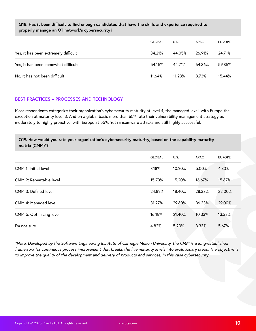#### **Q18. Has it been difficult to find enough candidates that have the skills and experience required to properly manage an OT network's cybersecurity?**

|                                      | <b>GLOBAL</b> | U.S.   | APAC   | <b>EUROPE</b> |
|--------------------------------------|---------------|--------|--------|---------------|
| Yes, it has been extremely difficult | 34.21%        | 44.05% | 26.91% | 24.71%        |
| Yes, it has been somewhat difficult  | 54.15%        | 44.71% | 64.36% | 59.85%        |
| No, it has not been difficult        | 11.64%        | 11.23% | 8.73%  | 15.44%        |

#### **BEST PRACTICES – PROCESSES AND TECHNOLOGY**

Most respondents categorize their organization's cybersecurity maturity at level 4, the managed level, with Europe the exception at maturity level 3. And on a global basis more than 65% rate their vulnerability management strategy as moderately to highly proactive, with Europe at 55%. Yet ransomware attacks are still highly successful.

| Q19. How would you rate your organization's cybersecurity maturity, based on the capability maturity |  |
|------------------------------------------------------------------------------------------------------|--|
| matrix (CMM)*?                                                                                       |  |

|                         | <b>GLOBAL</b> | U.S.   | APAC   | <b>EUROPE</b> |
|-------------------------|---------------|--------|--------|---------------|
| CMM 1: Initial level    | 7.18%         | 10.20% | 5.00%  | 4.33%         |
| CMM 2: Repeatable level | 15.73%        | 15.20% | 16.67% | 15.67%        |
| CMM 3: Defined level    | 24.82%        | 18.40% | 28.33% | 32.00%        |
| CMM 4: Managed level    | 31.27%        | 29.60% | 36.33% | 29.00%        |
| CMM 5: Optimizing level | 16.18%        | 21.40% | 10.33% | 13.33%        |
| I'm not sure            | 4.82%         | 5.20%  | 3.33%  | 5.67%         |

*\*Note: Developed by the Software Engineering Institute of Carnegie Mellon University, the CMM is a long-established framework for continuous process improvement that breaks the five maturity levels into evolutionary steps. The objective is to improve the quality of the development and delivery of products and services, in this case cybersecurity.*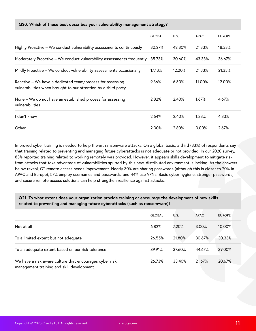#### **Q20. Which of these best describes your vulnerability management strategy?**

|                                                                                                                             | <b>GLOBAL</b> | U.S.   | <b>APAC</b> | <b>EUROPE</b> |
|-----------------------------------------------------------------------------------------------------------------------------|---------------|--------|-------------|---------------|
| Highly Proactive - We conduct vulnerability assessments continuously                                                        | 30.27%        | 42.80% | 21.33%      | 18.33%        |
| Moderately Proactive - We conduct vulnerability assessments frequently                                                      | 35.73%        | 30.60% | 43.33%      | 36.67%        |
| Mildly Proactive - We conduct vulnerability assessments occasionally                                                        | 17.18%        | 12.20% | 21.33%      | 21.33%        |
| Reactive - We have a dedicated team/process for assessing<br>vulnerabilities when brought to our attention by a third party | 9.36%         | 6.80%  | 11.00%      | 12.00%        |
| None - We do not have an established process for assessing<br>vulnerabilities                                               | 2.82%         | 2.40%  | 1.67%       | 4.67%         |
| l don't know                                                                                                                | 2.64%         | 2.40%  | 1.33%       | 4.33%         |
| Other                                                                                                                       | 2.00%         | 2.80%  | 0.00%       | 2.67%         |

Improved cyber training is needed to help thwart ransomware attacks. On a global basis, a third (33%) of respondents say that training related to preventing and managing future cyberattacks is not adequate or not provided. In our 2020 survey, 83% reported training related to working remotely was provided. However, it appears skills development to mitigate risk from attacks that take advantage of vulnerabilities spurred by this new, distributed environment is lacking. As the answers below reveal, OT remote access needs improvement. Nearly 30% are sharing passwords (although this is closer to 20% in APAC and Europe), 57% employ usernames and passwords, and 44% use VPNs. Basic cyber hygiene, stronger passwords, and secure remote access solutions can help strengthen resilience against attacks.

#### **Q21. To what extent does your organization provide training or encourage the development of new skills related to preventing and managing future cyberattacks (such as ransomware)?**

|                                                                                                      | <b>GLOBAL</b> | U.S.   | <b>APAC</b> | <b>EUROPE</b> |
|------------------------------------------------------------------------------------------------------|---------------|--------|-------------|---------------|
| Not at all                                                                                           | 6.82%         | 7.20%  | 3.00%       | 10.00%        |
| To a limited extent but not adequate                                                                 | 26.55%        | 21.80% | 30.67%      | 30.33%        |
| To an adequate extent based on our risk tolerance                                                    | 39.91%        | 37.60% | 44.67%      | 39.00%        |
| We have a risk aware culture that encourages cyber risk<br>management training and skill development | 26.73%        | 33.40% | 21.67%      | 20.67%        |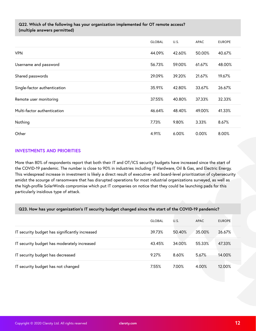#### **Q22. Which of the following has your organization implemented for OT remote access? (multiple answers permitted)**

|                              | <b>GLOBAL</b> | U.S.   | <b>APAC</b> | <b>EUROPE</b> |
|------------------------------|---------------|--------|-------------|---------------|
| <b>VPN</b>                   | 44.09%        | 42.60% | 50.00%      | 40.67%        |
| Username and password        | 56.73%        | 59.00% | 61.67%      | 48.00%        |
| Shared passwords             | 29.09%        | 39.20% | 21.67%      | 19.67%        |
| Single-factor authentication | 35.91%        | 42.80% | 33.67%      | 26.67%        |
| Remote user monitoring       | 37.55%        | 40.80% | 37.33%      | 32.33%        |
| Multi-factor authentication  | 46.64%        | 48.40% | 49.00%      | 41.33%        |
| Nothing                      | 7.73%         | 9.80%  | 3.33%       | 8.67%         |
| Other                        | 4.91%         | 6.00%  | 0.00%       | 8.00%         |

#### **INVESTMENTS AND PRIORITIES**

More than 80% of respondents report that both their IT and OT/ICS security budgets have increased since the start of the COVID-19 pandemic. The number is close to 90% in industries including IT Hardware, Oil & Gas, and Electric Energy. This widespread increase in investment is likely a direct result of executive- and board-level prioritization of cybersecurity amidst the scourge of ransomware that has disrupted operations for most industrial organizations surveyed, as well as the high-profile SolarWinds compromise which put IT companies on notice that they could be launching pads for this particularly insidious type of attack.

#### **Q23. How has your organization's IT security budget changed since the start of the COVID-19 pandemic?**

|                                                | <b>GLOBAL</b> | U.S.   | APAC   | <b>EUROPE</b> |
|------------------------------------------------|---------------|--------|--------|---------------|
| IT security budget has significantly increased | 39.73%        | 50.40% | 35.00% | 26.67%        |
| IT security budget has moderately increased    | 43.45%        | 34.00% | 55.33% | 47.33%        |
| IT security budget has decreased               | 9.27%         | 8.60%  | 5.67%  | 14.00%        |
| IT security budget has not changed             | 7.55%         | 7.00%  | 4.00%  | 12.00%        |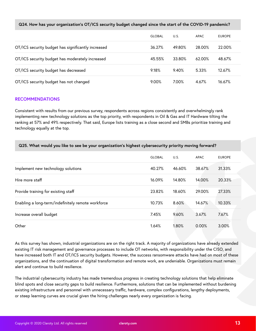#### **Q24. How has your organization's OT/ICS security budget changed since the start of the COVID-19 pandemic?**

|                                                    | <b>GLOBAL</b> | U.S.   | APAC   | <b>EUROPE</b> |
|----------------------------------------------------|---------------|--------|--------|---------------|
| OT/ICS security budget has significantly increased | 36.27%        | 49.80% | 28.00% | 22.00%        |
| OT/ICS security budget has moderately increased    | 45.55%        | 33.80% | 62.00% | 48.67%        |
| OT/ICS security budget has decreased               | 9.18%         | 9.40%  | 5.33%  | 12.67%        |
| OT/ICS security budget has not changed             | 9.00%         | 7.00%  | 4.67%  | 16.67%        |

#### **RECOMMENDATIONS**

Consistent with results from our previous survey, respondents across regions consistently and overwhelmingly rank implementing new technology solutions as the top priority, with respondents in Oil & Gas and IT Hardware tilting the ranking at 57% and 49% respectively. That said, Europe lists training as a close second and SMBs prioritize training and technology equally at the top.

| Q25. What would you like to see be your organization's highest cybersecurity priority moving forward? |               |        |             |               |  |  |
|-------------------------------------------------------------------------------------------------------|---------------|--------|-------------|---------------|--|--|
|                                                                                                       | <b>GLOBAL</b> | U.S.   | <b>APAC</b> | <b>EUROPE</b> |  |  |
| Implement new technology solutions                                                                    | 40.27%        | 46.60% | 38.67%      | 31.33%        |  |  |
| Hire more staff                                                                                       | 16.09%        | 14.80% | 14.00%      | 20.33%        |  |  |
| Provide training for existing staff                                                                   | 23.82%        | 18.60% | 29.00%      | 27.33%        |  |  |
| Enabling a long-term/indefinitely remote workforce                                                    | 10.73%        | 8.60%  | 14.67%      | 10.33%        |  |  |
| Increase overall budget                                                                               | 7.45%         | 9.60%  | 3.67%       | 7.67%         |  |  |
| Other                                                                                                 | 1.64%         | 1.80%  | 0.00%       | 3.00%         |  |  |

As this survey has shown, industrial organizations are on the right track. A majority of organizations have already extended existing IT risk management and governance processes to include OT networks, with responsibility under the CISO, and have increased both IT and OT/ICS security budgets. However, the success ransomware attacks have had on most of these organizations, and the continuation of digital transformation and remote work, are undeniable. Organizations must remain alert and continue to build resilience.

The industrial cybersecurity industry has made tremendous progress in creating technology solutions that help eliminate blind spots and close security gaps to build resilience. Furthermore, solutions that can be implemented without burdening existing infrastructure and personnel with unnecessary traffic, hardware, complex configurations, lengthy deployments, or steep learning curves are crucial given the hiring challenges nearly every organization is facing.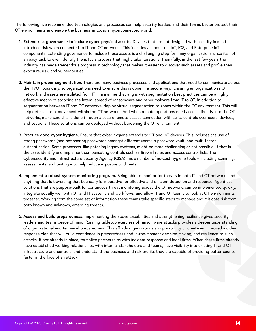The following five recommended technologies and processes can help security leaders and their teams better protect their OT environments and enable the business in today's hyperconnected world.

- **1. Extend risk governance to include cyber-physical assets.** Devices that are not designed with security in mind introduce risk when connected to IT and OT networks. This includes all Industrial IoT, ICS, and Enterprise IoT components. Extending governance to include these assets is a challenging step for many organizations since it's not an easy task to even identify them. It's a process that might take iterations. Thankfully, in the last few years the industry has made tremendous progress in technology that makes it easier to discover such assets and profile their exposure, risk, and vulnerabilities.
- **2. Maintain proper segmentation.** There are many business processes and applications that need to communicate across the IT/OT boundary, so organizations need to ensure this is done in a secure way. Ensuring an organization's OT network and assets are isolated from IT in a manner that aligns with segmentation best practices can be a highly effective means of stopping the lateral spread of ransomware and other malware from IT to OT. In addition to segmentation between IT and OT networks, deploy virtual segmentation to zones within the OT environment. This will help detect lateral movement within the OT networks. And when remote operations need access directly into the OT networks, make sure this is done through a secure remote access connection with strict controls over users, devices, and sessions. These solutions can be deployed without burdening the OT environment.
- **3. Practice good cyber hygiene.** Ensure that cyber hygiene extends to OT and IoT devices. This includes the use of strong passwords (and not sharing passwords amongst different users), a password vault, and multi-factor authentication. Some processes, like patching legacy systems, might be more challenging or not possible. If that is the case, identify and implement compensating controls such as firewall rules and access control lists. The Cybersecurity and Infrastructure Security Agency (CISA) has a number of no-cost hygiene tools – including scanning, assessments, and testing – to help reduce exposure to threats.
- **4. Implement a robust system monitoring program.** Being able to monitor for threats in both IT and OT networks and anything that is traversing that boundary is imperative for effective and efficient detection and response. Agentless solutions that are purpose-built for continuous threat monitoring across the OT network, can be implemented quickly, integrate equally well with OT and IT systems and workflows, and allow IT and OT teams to look at OT environments together. Working from the same set of information these teams take specific steps to manage and mitigate risk from both known and unknown, emerging threats.
- **5. Assess and build preparedness.** Implementing the above capabilities and strengthening resilience gives security leaders and teams peace of mind. Running tabletop exercises of ransomware attacks provides a deeper understanding of organizational and technical preparedness. This affords organizations an opportunity to create an improved incident response plan that will build confidence in preparedness and in-the-moment decision making, and resilience to such attacks. If not already in place, formalize partnerships with incident response and legal firms. When these firms already have established working relationships with internal stakeholders and teams, have visibility into existing IT and OT infrastructure and controls, and understand the business and risk profile, they are capable of providing better counsel, faster in the face of an attack.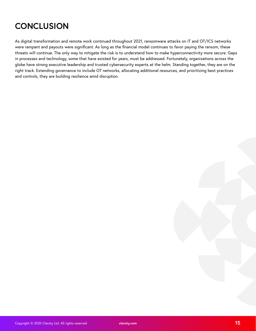## **CONCLUSION**

As digital transformation and remote work continued throughout 2021, ransomware attacks on IT and OT/ICS networks were rampant and payouts were significant. As long as the financial model continues to favor paying the ransom, these threats will continue. The only way to mitigate the risk is to understand how to make hyperconnectivity more secure. Gaps in processes and technology, some that have existed for years, must be addressed. Fortunately, organizations across the globe have strong executive leadership and trusted cybersecurity experts at the helm. Standing together, they are on the right track. Extending governance to include OT networks, allocating additional resources, and prioritizing best practices and controls, they are building resilience amid disruption.